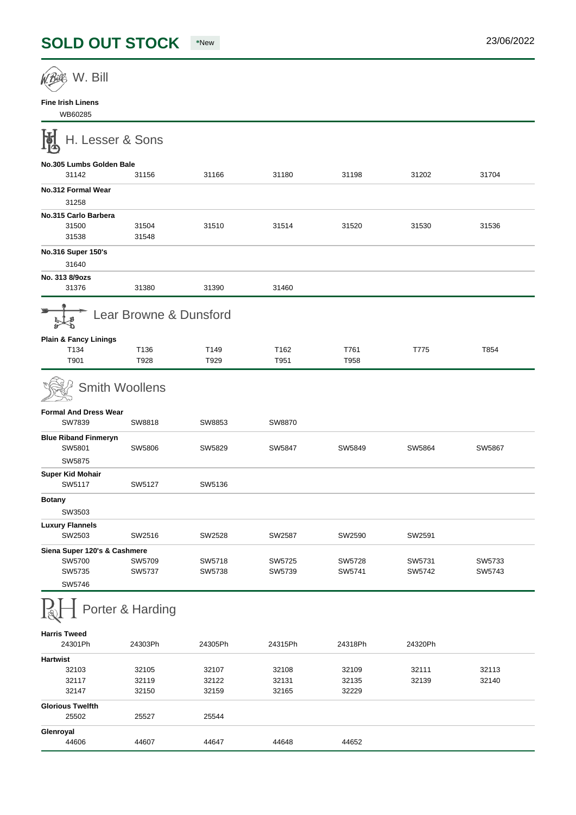W. Bill

Fine Irish Linens

[WB60285](https://www.harrisons1863.com/product/wb60285/)

## H. Lesser & Sons

| No.305 Lumbs Golden Bale     |                        |        |        |        |        |        |
|------------------------------|------------------------|--------|--------|--------|--------|--------|
| 31142                        | 31156                  | 31166  | 31180  | 31198  | 31202  | 31704  |
| No.312 Formal Wear           |                        |        |        |        |        |        |
| 31258                        |                        |        |        |        |        |        |
| No.315 Carlo Barbera         |                        |        |        |        |        |        |
| 31500                        | 31504                  | 31510  | 31514  | 31520  | 31530  | 31536  |
| 31538                        | 31548                  |        |        |        |        |        |
| No.316 Super 150's           |                        |        |        |        |        |        |
| 31640                        |                        |        |        |        |        |        |
| No. 313 8/9ozs               |                        |        |        |        |        |        |
| 31376                        | 31380                  | 31390  | 31460  |        |        |        |
|                              | Lear Browne & Dunsford |        |        |        |        |        |
| Plain & Fancy Linings        |                        |        |        |        |        |        |
| T134                         | T136                   | T149   | T162   | T761   | T775   | T854   |
| T901                         | T928                   | T929   | T951   | T958   |        |        |
|                              | <b>Smith Woollens</b>  |        |        |        |        |        |
| Formal And Dress Wear        |                        |        |        |        |        |        |
| SW7839                       | SW8818                 | SW8853 | SW8870 |        |        |        |
| <b>Blue Riband Finmeryn</b>  |                        |        |        |        |        |        |
| SW5801                       | SW5806                 | SW5829 | SW5847 | SW5849 | SW5864 | SW5867 |
| SW5875                       |                        |        |        |        |        |        |
| Super Kid Mohair             |                        |        |        |        |        |        |
| SW5117                       | SW5127                 | SW5136 |        |        |        |        |
|                              |                        |        |        |        |        |        |
|                              |                        |        |        |        |        |        |
| Botany<br>SW3503             |                        |        |        |        |        |        |
| <b>Luxury Flannels</b>       |                        |        |        |        |        |        |
| SW2503                       | SW2516                 | SW2528 | SW2587 | SW2590 | SW2591 |        |
| Siena Super 120's & Cashmere |                        |        |        |        |        |        |
| SW5700                       | SW5709                 | SW5718 | SW5725 | SW5728 | SW5731 | SW5733 |
| SW5735<br>SW5746             | SW5737                 | SW5738 | SW5739 | SW5741 | SW5742 | SW5743 |

## Porter & Harding

| <b>Harris Tweed</b>     |         |         |         |         |         |       |
|-------------------------|---------|---------|---------|---------|---------|-------|
| 24301Ph                 | 24303Ph | 24305Ph | 24315Ph | 24318Ph | 24320Ph |       |
| Hartwist                |         |         |         |         |         |       |
| 32103                   | 32105   | 32107   | 32108   | 32109   | 32111   | 32113 |
| 32117                   | 32119   | 32122   | 32131   | 32135   | 32139   | 32140 |
| 32147                   | 32150   | 32159   | 32165   | 32229   |         |       |
| <b>Glorious Twelfth</b> |         |         |         |         |         |       |
| 25502                   | 25527   | 25544   |         |         |         |       |
| Glenroyal               |         |         |         |         |         |       |
| 44606                   | 44607   | 44647   | 44648   | 44652   |         |       |